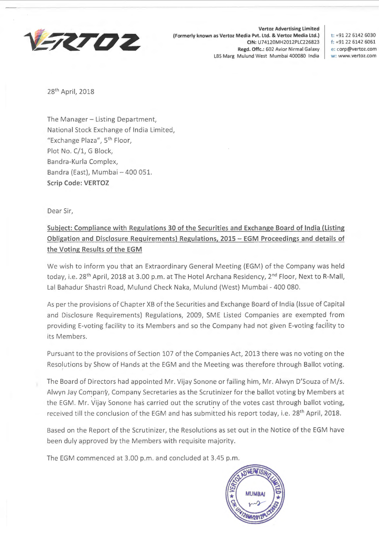

**Vertoz Advertising limited (Formerly known as Vertoz Media Pvt. Ltd. & Vertoz Media Ltd.) t:** +91 22 6142 6030 **CIN:** U74120MH2012PLC226823 **f:** +91 22 6142 6061 **Regd. Offc.:** 602 Avior Nirmal Galaxy **e:** corp@vertoz.com LBS Marg Mulund West Mumbai 400080 India **w:** www.vertoz.com

28th April, 2018

The Manager - Listing Department, National Stock Exchange of India Limited, "Exchange Plaza", 5th Floor, Plot No. C/1, G Block, Bandra-Kurla Complex, Bandra (East), Mumbai - 400 051. **Scrip Code: VERTOZ** 

Dear Sir,

## **Subject: Compliance with Regulations 30 of the Securities and Exchange Board of India (Listing Obligation and Disclosure Requirements) Regulations, 2015 - EGM Proceedings and details of the Voting Results of the EGM**

We wish to inform you that an Extraordinary General Meeting (EGM) of the Company was held today, i.e. 28<sup>th</sup> April, 2018 at 3.00 p.m. at The Hotel Archana Residency, 2<sup>nd</sup> Floor, Next to R-Mall, Lal Bahadur Shastri Road, Mulund Check Naka, Mulund (West) Mumbai - 400 080.

As per the provisions of Chapter XB of the Securities and Exchange Board of India (Issue of Capital and Disclosure Requirements) Regulations, 2009, SME Listed Companies are exempted from providing E-voting facility to its Members and so the Company had not given E-voting facility to its Members.

Pursuant to the provisions of Section 107 of the Companies Act, 2013 there was no voting on the Resolutions by Show of Hands at the EGM and the Meeting was therefore through Ballot voting.

The Board of Directors had appointed Mr. Vijay Sonone or failing him, Mr. Alwyn D'Souza of M/s. Alwyn Jay Company, Company Secretaries as the Scrutinizer for the ballot voting by Members at the EGM. Mr. Vijay Sonone has carried out the scrutiny of the votes cast through ballot voting, received till the conclusion of the EGM and has submitted his report today, i.e. 28<sup>th</sup> April, 2018.

Based on the Report of the Scrutinizer, the Resolutions as set out in the Notice of the EGM have been duly approved by the Members with requisite majority.

The EGM commenced at 3.00 p.m. and concluded at 3.45 p.m.

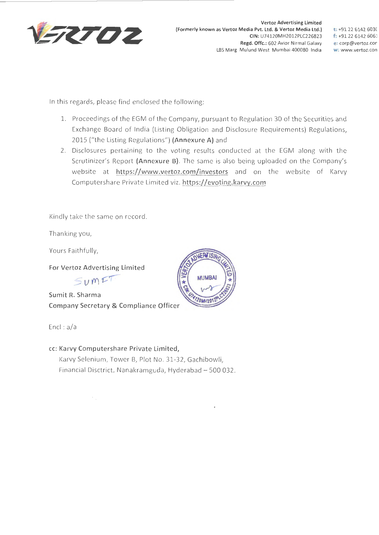

**t:** +91 22 6142 603( **f:** +91 22 6142 6061 **e: corp@vertoz.cor w: www.vertoz.con** 

In this regards, please find enclosed the following:

- 1. Proceedings of the EGM of the Company, pursuant to Regulation 30 of the Securities and Exchange Board of India (Listing Obligation and Disclosure Requirements) Regulations, 2015 ("the Listing Regulations") **(Annexure A)** and
- 2. Disclosures pertaining to the voting results conducted at the EGM along with the Scrutinizer's Report **(Annexure B).** The same is also being uploaded on the Company's website at **https://www.vertoz.com/investors** and on the website of Karvy Computershare Private Limited viz. **https://evoting.karvy.com**

Kindly take the same on record.

Thanking you,

Yours Faithfully,

**For Vertoz Advertising Limited** 

 $S$   $\nu$   $m$   $27$ 

**Sumit R. Sharma Company Secretary & Compliance Officer** 

Encl : a/a

**cc: Karvy Computershare Private Limited,**  Karvy Selenium, Tower B, Plot No. 31-32, Gachibowli, Financial Disctrict, Nanakramguda, Hyderabad - 500 032.

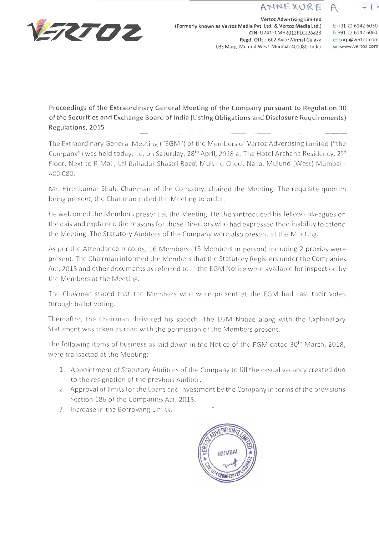## ANNEXURE



**Vertoz Advertising Limited (Formerly known as Vertoz Media Pvt. Ltd. & Vertoz Media Ltd.) CIN:** U74120MH2012PLC226823 **Regd. Offc.:** 602 Avior Nirmal Galaxy LBS Marg Mulund West Mumbai 400080 India

**t:** +91 22 6142 6030 **f:** +91 22 6142 6061 **e:** corp@vertoz.com **w: www.vertoz.com** 

- **t** <sup>~</sup>

**Proceedings of the Extraordinary General Meeting of the Company pursuant to Regulation 30 of the Securities and Exchange Board of India (Listing Obligations and Disclosure Requirements) Regulations, 2015** 

The Extraordinary General Meeting ("EGM") of the Members of Vertoz Advertising Limited ("the Company") was held today, i.e. on Saturday, 28<sup>th</sup> April, 2018 at The Hotel Archana Residency, 2<sup>nd</sup> Floor, Next to R-Mall, Lal Bahadur Shastri Road, Mulund Check Naka, Mulund (West) Mumbai - 400 080.

Mr. Hirenkumar Shah, Chairman of the Company, chaired the Meeting. The requisite quorum being present, the Chairman called the Meeting to order.

He welcomed the Members present at the Meeting. He then introduced his fellow colleagues on the dais and explained the reasons for those Directors who had expressed their inability to attend the Meeting. The Statutory Auditors of the Company were also present at the Meeting.

As per the Attendance records, 16 Members (15 Members in person) including 2 proxies were present. The Chairman informed the Members that the Statutory Registers under the Companies Act, 2013 and other documents as referred to in the EGM Notice were available for inspection by the Members at the Meeting.

The Chairman stated that the Members who were present at the EGM had cast their votes through ballot voting.

Thereafter, the Chairman delivered his speech. The EGM Notice along with the Explanatory Statement was taken as read with the permission of the Members present.

The following items of business as laid down in the Notice of the EGM dated 30<sup>th</sup> March, 2018, were transacted at the Meeting:

- 1. Appointment of Statutory Auditors of the Company to fill the casual vacancy created due to the resignation of the previous Auditor.
- 2. Approval of limits for the Loans and Investment by the Company in terms of the provisions Section ·186 of the Companies Act, 2013.
- 3. Increase in the Borrowing Limits.

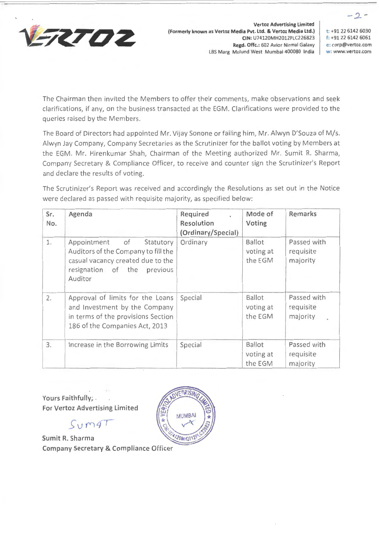

**Vertoz Advertising Limited {Formerly known as Vertoz Media Pvt. Ltd. & Vertoz Media Ltd.) CIN:** U74120MH2012PLC226823 **Regd. Offc.:** 602 Avior Nirmal Galaxy LBS Marg Mulund West Mumbai 400080 India

**t:** +91 22 6142 6030 **f:** +91 22 6142 6061 **e: corp@vertoz.com w: www.vertoz.com** 

*-2.-*

The Chairman then invited the Members to offer their comments, make observations and seek clarifications, if any, on the business transacted at the EGM. Clarifications were provided to the queries raised by the Members.

The Board of Directors had appointed Mr. Vijay Sonone or failing him, Mr. Alwyn D'Souza of M/s. Alwyn Jay Company, Company Secretaries as the Scrutinizer for the ballot voting by Members at the EGM. Mr. Hirenkumar Shah, Chairman of the Meeting authorized Mr. Sumit R. Sharma, Company Secretary & Compliance Officer, to receive and counter sign the Scrutinizer's Report and declare the results of voting.

The Scrutinizer's Report was received and accordingly the Resolutions as set out in the Notice were declared as passed with requisite majority, as specified below:

| Sr.<br>No. | Agenda                                                                                                                                               | Required<br><b>Resolution</b><br>(Ordinary/Special) | Mode of<br>Voting                     | Remarks                              |
|------------|------------------------------------------------------------------------------------------------------------------------------------------------------|-----------------------------------------------------|---------------------------------------|--------------------------------------|
| 1.         | Appointment of<br>Statutory<br>Auditors of the Company to fill the<br>casual vacancy created due to the<br>resignation of the<br>previous<br>Auditor | Ordinary                                            | Ballot<br>voting at<br>the EGM        | Passed with<br>requisite<br>majority |
| 2.         | Approval of limits for the Loans<br>and Investment by the Company<br>in terms of the provisions Section<br>186 of the Companies Act, 2013            | Special                                             | <b>Ballot</b><br>voting at<br>the EGM | Passed with<br>requisite<br>majority |
| 3.         | Increase in the Borrowing Limits                                                                                                                     | Special                                             | Ballot<br>voting at<br>the EGM        | Passed with<br>requisite<br>majority |

**Yours Faithfully;** . **For Vertoz Advertising Limited** 

 $Sym47$ 

**Sumit R. Sharma Company Secretary & Compliance Officer** 

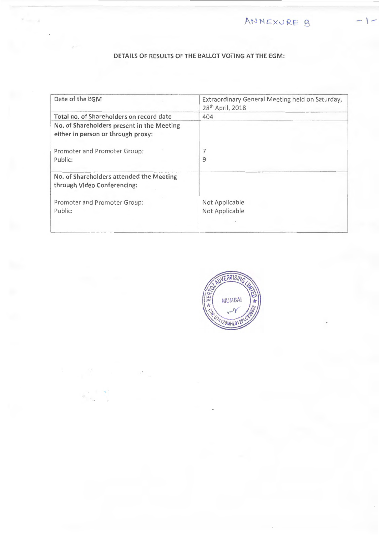$AMNEXURE B$ 

## **DETAILS OF RESULTS OF THE BALLOT VOTING AT THE EGM:**

 $\tau$  . <br> <br> . <br> <br> .

| Date of the EGM                                                                  | Extraordinary General Meeting held on Saturday,<br>28 <sup>th</sup> April, 2018 |
|----------------------------------------------------------------------------------|---------------------------------------------------------------------------------|
| Total no. of Shareholders on record date                                         | 404                                                                             |
| No. of Shareholders present in the Meeting<br>either in person or through proxy: |                                                                                 |
| Promoter and Promoter Group:                                                     |                                                                                 |
| Public:                                                                          | 9                                                                               |
| No. of Shareholders attended the Meeting<br>through Video Conferencing:          |                                                                                 |
| Promoter and Promoter Group:                                                     | Not Applicable                                                                  |
| Public:                                                                          | Not Applicable                                                                  |
|                                                                                  |                                                                                 |

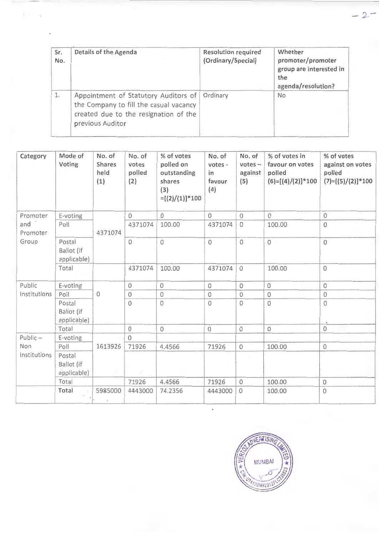| Sr.<br>No. | Details of the Agenda                                                                                                                       | <b>Resolution required</b><br>(Ordinary/Special) | Whether<br>promoter/promoter<br>group are interested in<br>the<br>agenda/resolution? |
|------------|---------------------------------------------------------------------------------------------------------------------------------------------|--------------------------------------------------|--------------------------------------------------------------------------------------|
|            | Appointment of Statutory Auditors of<br>the Company to fill the casual vacancy<br>created due to the resignation of the<br>previous Auditor | Ordinary                                         | <b>No</b>                                                                            |

 $\mathbf{r} = \mathbf{r}$ 

| Category        | Mode of<br>Voting                   | No. of<br>Shares<br>held<br>(1) | No. of<br>votes<br>polled<br>(2) | % of votes<br>polled on<br>outstanding<br>shares<br>(3)<br>$=[(2)/(1)]$ *100 | No. of<br>votes -<br>in<br>favour<br>(4) | No. of<br>$votes -$<br>against<br>(5) | % of votes in<br>favour on votes<br>polled<br>$(6)=[(4)/(2)]*100$ | % of votes<br>against on votes<br>polled<br>$(7)=[(5)/(2)]*100$ |
|-----------------|-------------------------------------|---------------------------------|----------------------------------|------------------------------------------------------------------------------|------------------------------------------|---------------------------------------|-------------------------------------------------------------------|-----------------------------------------------------------------|
| Promoter        | E-voting                            |                                 | $\Omega$                         | $\Omega$                                                                     | $\Omega$                                 | $\Omega$                              | $\Omega$                                                          | $\mathbf{0}$                                                    |
| and<br>Promoter | Poll                                | 4371074                         | 4371074                          | 100.00                                                                       | 4371074                                  | $\circ$                               | 100.00                                                            | $\overline{0}$                                                  |
| Group           | Postal<br>Ballot (if<br>applicable) |                                 | $\circ$                          | $\circ$                                                                      | $\mathbf{O}$                             | $\overline{0}$                        | $\overline{O}$                                                    | $\mathcal{O}$                                                   |
|                 | Total                               |                                 | 4371074                          | 100.00                                                                       | 4371074                                  | $\overline{O}$                        | 100.00                                                            | $\overline{0}$                                                  |
| Public          | E-voting                            |                                 | $\Omega$                         | 0                                                                            | $\mathbf 0$                              | $\overline{0}$                        | $\overline{0}$                                                    | $\circ$                                                         |
| Institutions    | Poll                                | $\mathbf 0$                     | $\overline{O}$                   | $\circ$                                                                      | $\circ$                                  | $\overline{O}$                        | $\mathbf 0$                                                       | $\mathbf{0}$                                                    |
|                 | Postal<br>Ballot (if<br>applicable) |                                 | $\circ$                          | 0                                                                            | $\overline{0}$                           | $\Omega$                              | $\overline{0}$                                                    | $\circ$                                                         |
|                 | Total                               |                                 | $\circ$                          | $\mathbf 0$                                                                  | $\overline{0}$                           | $\circ$                               | $\overline{0}$                                                    | $\mathbf{0}$                                                    |
| Public-         | E-voting                            |                                 | $\Omega$                         |                                                                              |                                          |                                       |                                                                   |                                                                 |
| Non             | Poll                                | 1613926                         | 71926                            | 4.4566                                                                       | 71926                                    | $\overline{O}$                        | 100.00                                                            | $\overline{0}$                                                  |
| Institutions    | Postal<br>Ballot (if<br>applicable) |                                 |                                  |                                                                              |                                          |                                       |                                                                   |                                                                 |
|                 | Total                               |                                 | 71926                            | 4.4566                                                                       | 71926                                    | $\circ$                               | 100.00                                                            | $\mathbf 0$                                                     |
|                 | Total                               | 5985000                         | 4443000                          | 74.2356                                                                      | 4443000                                  | $\Omega$                              | 100.00                                                            | $\mathbf{0}$                                                    |



 $-2-$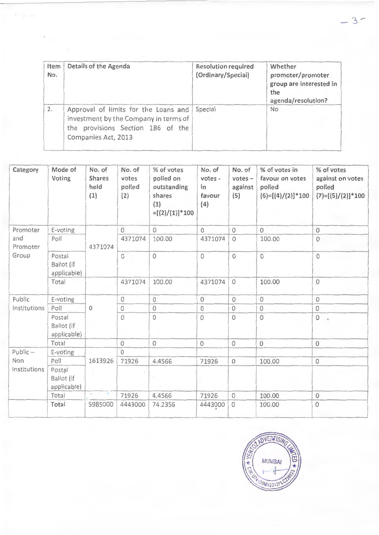| Item<br>No. | Details of the Agenda                                                                                                                     | <b>Resolution required</b><br>(Ordinary/Special) | Whether<br>promoter/promoter<br>group are interested in<br>the<br>agenda/resolution? |
|-------------|-------------------------------------------------------------------------------------------------------------------------------------------|--------------------------------------------------|--------------------------------------------------------------------------------------|
| 2.          | Approval of limits for the Loans and<br>Investment by the Company in terms of<br>the provisions Section 186 of the<br>Companies Act, 2013 | Special                                          | <b>No</b>                                                                            |

| Category        | Mode of<br>Voting                   | No. of<br>Shares<br>held<br>(1) | No. of<br>votes<br>polled<br>(2) | % of votes<br>polled on<br>outstanding<br>shares<br>(3)<br>$=[(2)/(1)]$ *100 | No. of<br>votes -<br>in<br>favour<br>(4) | No. of<br>$votes -$<br>against<br>(5) | % of votes in<br>favour on votes<br>polled<br>$(6)=[(4)/(2)]*100$ | % of votes<br>against on votes<br>polled<br>$(7)=[(5)/(2)]*100$ |
|-----------------|-------------------------------------|---------------------------------|----------------------------------|------------------------------------------------------------------------------|------------------------------------------|---------------------------------------|-------------------------------------------------------------------|-----------------------------------------------------------------|
| Promoter        | E-voting                            |                                 | $\circ$                          | $\Omega$                                                                     | $\overline{0}$                           | $\overline{0}$                        | $\Omega$                                                          | $\bf 0$                                                         |
| and<br>Promoter | Poll                                | 4371074                         | 4371074                          | 100.00                                                                       | 4371074                                  | $\Omega$                              | 100.00                                                            | $\mathbf 0$                                                     |
| Group           | Postal<br>Ballot (if<br>applicable) |                                 | $\circ$                          | 0                                                                            | $\mathsf{O}\xspace$                      | $\overline{0}$                        | $\mathbf{O}$                                                      | $\circ$                                                         |
|                 | Total                               |                                 | 4371074                          | 100.00                                                                       | 4371074                                  | $\overline{0}$                        | 100.00                                                            | $\circ$                                                         |
| Public          | E-voting                            |                                 | $\circ$                          | $\circ$                                                                      | $\mathbf{O}$                             | $\circ$                               | $\circ$                                                           | $\mathbf 0$                                                     |
| Institutions    | Poll                                | 0                               | $\circ$                          | $\circ$                                                                      | $\circ$                                  | $\circ$                               | $\circ$                                                           | $\circ$                                                         |
|                 | Postal<br>Ballot (if<br>applicable) |                                 | $\circ$                          | $\circ$                                                                      | $\mathbf 0$                              | $\overline{0}$                        | $\overline{0}$                                                    | $\mathbf 0$                                                     |
|                 | Total                               |                                 | $\circ$                          | $\mathbf 0$                                                                  | $\mathbf 0$                              | $\circ$                               | $\mathbf 0$                                                       | $\circ$                                                         |
| Public-         | E-voting                            |                                 | $\Omega$                         |                                                                              |                                          |                                       |                                                                   |                                                                 |
| Non             | Poll                                | 1613926                         | 71926                            | 4.4566                                                                       | 71926                                    | $\overline{O}$                        | 100.00                                                            | $\mathsf{O}\xspace$                                             |
| Institutions    | Postal<br>Ballot (if<br>applicable) |                                 |                                  |                                                                              |                                          |                                       |                                                                   |                                                                 |
|                 | Total                               | Controlled Ma                   | 71926                            | 4.4566                                                                       | 71926                                    | $\circ$                               | 100.00                                                            | $\mathbf 0$                                                     |
|                 | Total                               | 5985000                         | 4443000                          | 74,2356                                                                      | 4443000                                  | $\overline{0}$                        | 100.00                                                            | $\circ$                                                         |

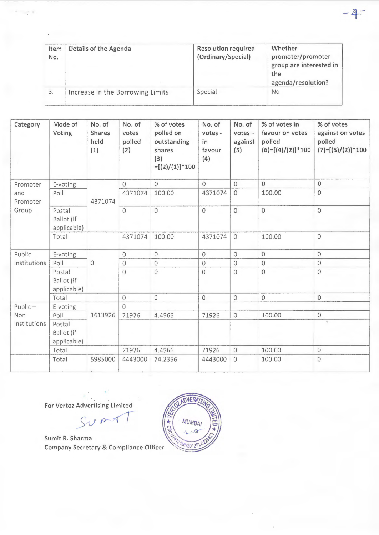| Item<br>No. | Details of the Agenda            | <b>Resolution required</b><br>(Ordinary/Special) | Whether<br>promoter/promoter<br>group are interested in<br>the<br>agenda/resolution? |
|-------------|----------------------------------|--------------------------------------------------|--------------------------------------------------------------------------------------|
|             | Increase in the Borrowing Limits | Special                                          | No                                                                                   |

 $-4$ 

| Category        | Mode of<br>Voting                   | No. of<br><b>Shares</b><br>held<br>(1) | No. of<br>votes<br>polled<br>(2) | % of votes<br>polled on<br>outstanding<br>shares<br>(3)<br>$=[(2)/(1)]*100$ | No. of<br>votes -<br>in<br>favour<br>(4) | No. of<br>$votes -$<br>against<br>(5) | % of votes in<br>favour on votes<br>polled<br>$(6)=[(4)/(2)]*100$ | % of votes<br>against on votes<br>polled<br>$(7)=[(5)/(2)]*100$ |
|-----------------|-------------------------------------|----------------------------------------|----------------------------------|-----------------------------------------------------------------------------|------------------------------------------|---------------------------------------|-------------------------------------------------------------------|-----------------------------------------------------------------|
| Promoter        | E-voting                            |                                        | $\Omega$                         | $\overline{0}$                                                              | $\Omega$                                 | $\Omega$                              | $\overline{0}$                                                    | $\mathbf{0}$                                                    |
| and<br>Promoter | Poll                                | 4371074                                | 4371074                          | 100.00                                                                      | 4371074                                  | $\overline{0}$                        | 100.00                                                            | $\overline{0}$                                                  |
| Group           | Postal<br>Ballot (if<br>applicable) |                                        | $\overline{0}$                   | $\circ$                                                                     | $\overline{0}$                           | $\Omega$                              | $\overline{0}$                                                    | $\overline{0}$                                                  |
|                 | Total                               |                                        | 4371074                          | 100.00                                                                      | 4371074                                  | $\overline{0}$                        | 100.00                                                            | $\overline{0}$                                                  |
| Public          | E-voting                            |                                        | $\overline{O}$                   | $\mathbf 0$                                                                 | $\circ$                                  | $\overline{0}$                        | $\overline{0}$                                                    | $\mathbf{0}$                                                    |
| Institutions    | Poll                                | $\overline{0}$                         | $\mathbf 0$                      | $\overline{0}$                                                              | $\mathbf 0$                              | $\overline{0}$                        | $\overline{0}$                                                    | $\overline{0}$                                                  |
|                 | Postal<br>Ballot (if<br>applicable) |                                        | 0                                | $\overline{0}$                                                              | $\circ$                                  | $\Omega$                              | $\overline{0}$                                                    | $\overline{0}$                                                  |
|                 | Total                               |                                        | $\overline{0}$                   | $\circ$                                                                     | $\circ$                                  | $\mathbf{0}$                          | $\overline{0}$                                                    | $\overline{O}$                                                  |
| $Public -$      | E-voting                            |                                        | $\circ$                          |                                                                             |                                          |                                       |                                                                   |                                                                 |
| Non             | Poll                                | 1613926                                | 71926                            | 4.4566                                                                      | 71926                                    | $\circ$                               | 100.00                                                            | $\circ$                                                         |
| Institutions    | Postal<br>Ballot (if<br>applicable) |                                        |                                  |                                                                             |                                          |                                       |                                                                   | $\mathbf{q}_c$                                                  |
|                 | Total                               |                                        | 71926                            | 4.4566                                                                      | 71926                                    | $\overline{O}$                        | 100.00                                                            | $\mathbf 0$                                                     |
|                 | Total                               | 5985000                                | 4443000                          | 74.2356                                                                     | 4443000                                  | $\Omega$                              | 100.00                                                            | $\mathbf{O}$                                                    |

**For Vertoz Advertising Limited** 

 $\sim$   $^{\circ}$ 

 $SVM$ 

**Sumit R. Sharma Company Secretary** & **Compliance Officer** 

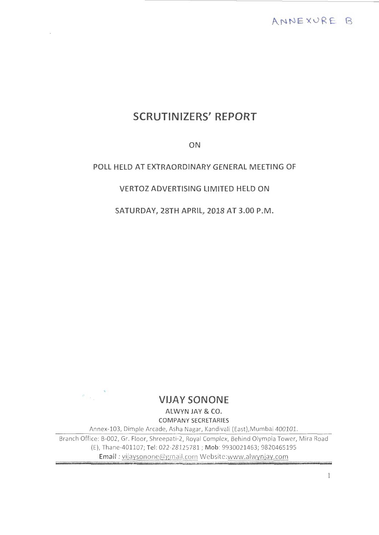# **SCRUTINIZERS' REPORT**

**ON** 

## **POLL HELD AT EXTRAORDINARY GENERAL MEETING OF**

## **VERTOZ ADVERTISING LIMITED HELD ON**

**SATURDAY, 28TH APRIL, 2018 AT 3.00 P.M.** 



# **VIJAY SONONE**

**ALWYN JAY** & **CO. COMPANY SECRETARIES** 

Annex-103, Dimple Arcade, Asha Nagar, Kandivali (East),Mumbai 400101.

Branch Office: B-002, Gr. Floor, Shreepati-2, Royal Complex, Behind Olympia Tower, Mira Road (E), Th ane-401107; **Tel:** 022-28125781 ; **Mob:** 9930021463; 9820465195 **Email** : vijaysonone@gmail.com Website:www.alwynjay. com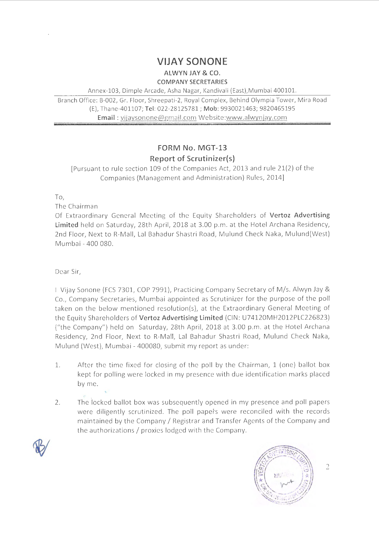# **VIJAY SONONE**

**ALWYN JAY & CO. COMPANY SECRETARIES** 

Annex-103, Dimple Arcade, Asha Nagar, Kandivali (East),Mumbai 400101.

Branch Office: B-002, Gr. Floor, Shreepati-2, Royal Complex, Behind Olympia Tower, Mira Road (E}, Thane-401107; **Tel:** 022-28125781; **Mob:** 9930021463; 9820465195 **Email** : vijaysonone@gmail.com Website:www.alwynjay.com

# **FORM No. MGT-13 Report of Scrutinizer(s)**

[Pursuant to rule section 109 of the Companies Act, 2013 and rule 21(2) of the Companies (Management and Administration) Rules, 2014]

To,

The Chairman

Of Extraordinary General Meeting of the Equity Shareholders of **Vertoz Advertising Limited** held on Saturday, 28th April, 2018 at 3.00 p.m. at the Hotel Archana Residency, 2nd Floor, Next to R-Mall, Lal Bahadur Shastri Road, Mulund Check Naka, Mulund(West) Mumbai - 400 080.

Dear Sir,

I Vijay Sonone (FCS 7301, COP 7991), Practicing Company Secretary of M/s. Alwyn Jay & Co., Company Secretaries, Mumbai appointed as Scrutinizer for the purpose of the poll taken on the below mentioned resolution(s), at the Extraordinary General Meeting of the Equity Shareholders of **Vertoz Advertising Limited** (CIN: U74120MH2012PLC22682~) ("the Company") held on Saturday, 28th April, 2018 at 3.00 p.m. at the Hotel Archana Residency, 2nd Floor, Next to R-Mall, Lal Bahadur Shastri Road, Mulund Check Naka, Mulund (West), Mumbai - 400080, submit my report as under:

- 1. After the time fixed for closing of the poll by the Chairman, 1 (one) ballot box kept for polling were locked in my presence with due identification marks placed by me.
- 2. The locked ballot box was subsequently opened in my presence and poll papers were diligently scrutinized. The poll papers were reconciled with the records maintained by the Company/ Registrar and Transfer Agents of the Company and the authorizations/ proxies lodged with the Company.





 $\overline{2}$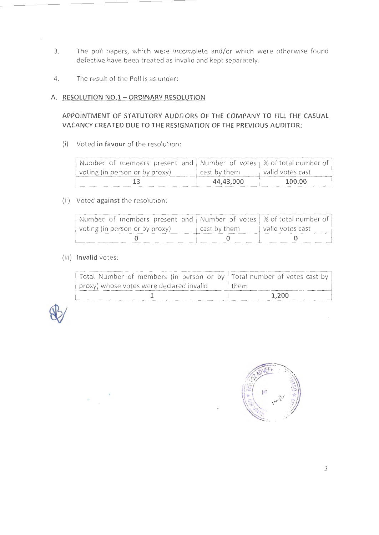- 3. The poll papers, which were incomplete and/or which were otherwise found defective have been treated as invalid and kept separately.
- 4. The result of the Poll is as under:

### **A. RESOLUTION NO.1- ORDINARY RESOLUTION**

## **APPOINTMENT OF STATUTORY AUDITORS OF THE COMPANY TO FILL THE CASUAL VACANCY CREATED DUE TO THE RESIGNATION OF THE PREVIOUS AUDITOR:**

(i) Voted **in favour** of the resolution:

| Number of members present and Number of votes   % of total number of |              |                  |
|----------------------------------------------------------------------|--------------|------------------|
| voting (in person or by proxy)                                       | cast by them | valid votes cast |
|                                                                      | 44,43,000    | 100.00           |

### (ii) Voted **against** the resolution :

| Number of members present and Number of votes $\frac{1}{2}$ % of total number of $\frac{1}{2}$ |              |                  |
|------------------------------------------------------------------------------------------------|--------------|------------------|
| voting (in person or by proxy)                                                                 | cast by them | valid votes cast |
|                                                                                                |              |                  |

### (iii) **Invalid** votes:

 $\frac{1}{\sqrt{2}}$ 

| Total Number of members (in person or by Total number of votes cast by |       |
|------------------------------------------------------------------------|-------|
| proxy) whose votes were declared invalid                               | them  |
|                                                                        | 1.200 |



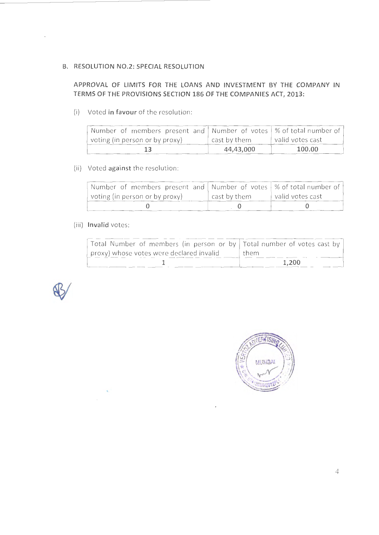#### **B. RESOLUTION NO.2: SPECIAL RESOLUTION**

## **APPROVAL OF LIMITS FOR THE LOANS AND INVESTMENT BY THE COMPANY IN TERMS OF THE PROVISIONS SECTION 186 OF THE COMPANIES ACT, 2013:**

(i) Voted **in favour** of the resolution:

| Number of members present and   Number of votes   % of total number of |              |                  |
|------------------------------------------------------------------------|--------------|------------------|
| voting (in person or by proxy)                                         | cast by them | valid votes cast |
|                                                                        | 44,43,000    | 100.00           |

## (ii) Voted **against** the resolution :

| Number of members present and   Number of votes   % of total number of |              |                  |
|------------------------------------------------------------------------|--------------|------------------|
| voting (in person or by proxy)                                         | cast by them | valid votes cast |
|                                                                        |              |                  |

### (iii) **Invalid** votes:

| Total Number of members (in person or by   Total number of votes cast by |       |
|--------------------------------------------------------------------------|-------|
| proxy) whose votes were declared invalid                                 | them  |
|                                                                          | 1,200 |



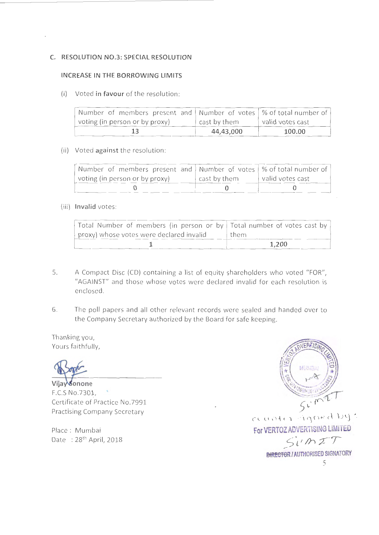#### **C. RESOLUTION NO.3: SPECIAL RESOLUTION**

#### **INCREASE IN THE BORROWING LIMITS**

(i) Voted **in favour** of the resolution:

| Number of members present and   Number of votes   % of total number of |              |                  |
|------------------------------------------------------------------------|--------------|------------------|
| voting (in person or by proxy)                                         | cast by them | valid votes cast |
|                                                                        | 44,43,000    | 100.00           |

#### (ii) Voted **against** the resolution:

| Number of members present and Number of votes   % of total number of |              |                  |
|----------------------------------------------------------------------|--------------|------------------|
| voting (in person or by proxy)                                       | cast by them | valid votes cast |
|                                                                      |              |                  |

#### (iii) **Invalid** votes :

| Total Number of members (in person or by Total number of votes cast by |       |
|------------------------------------------------------------------------|-------|
| proxy) whose votes were declared invalid                               | them  |
|                                                                        | 1.200 |

- 5. A Compact Disc (CD) containing a list of equity shareholders who voted "FOR", "AGAINST" and those whose votes were declared invalid for each resolution is enclosed .
- 6. The poll papers and all other relevant records were sealed and handed over to the Company Secretary authorized by the Board for safe keeping.

Thanking you, Yours faithfully,

Vijay sonone F.C.S No.7301, Certificate of Practice No.7991 Practising Company Secretary

Place: Mumbai Date: 28<sup>th</sup> April, 2018

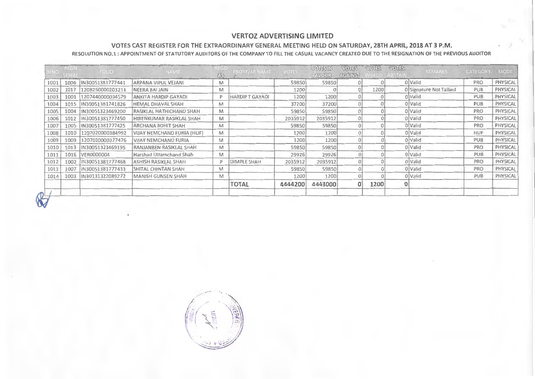#### VERTOZ ADVERTISING LIMITED

#### VOTES CAST REGISTER FOR THE EXTRAORDINARY GENERAL MEETING HELD ON SATURDAY, 28TH APRIL, 2018 AT 3 P.M.

RESOLUTION NO.l: APPOINTMENT OF STATUTORY AUDITORS OF THE COMPANY TO FILL THE CASUAL VACANCY CREATED DUE TO THE RESIGNATION OF THE PREVIOUS AUDITOR

| <b>HNO</b>                | REGI | FOLIO.            | <b>NAME</b>                       | 1100<br>瓜 | PROXY/AR NAME         | <b>VOTES</b> | <b>VOTES IN</b><br>FAVOUR | VOTES<br><b>AGAINST</b> | VOTES    | <b>VOTES</b><br>ALD ABSTAI | <b>REMARKS</b>          | CATEGORY   | <b>MODE</b> |
|---------------------------|------|-------------------|-----------------------------------|-----------|-----------------------|--------------|---------------------------|-------------------------|----------|----------------------------|-------------------------|------------|-------------|
| 1001                      | 1006 | IN30051381777441  | ARPANA VIPUL VEJANI               | M         |                       | 59850        | 59850                     | 0 <sup>1</sup>          | $\Omega$ |                            | 0 Valid                 | PRO        | PHYSICAL    |
| 1002                      | 1017 | 1208250000203211  | NEERA BAI JAIN                    | M         |                       | 1200         |                           | 0                       | 1200     |                            | 0 Signature Not Tallied | PUB        | PHYSICAL    |
| 1003                      | 1001 | 1207440000034579  | ANKITA HARDIP GAYADI              | D         | <b>HARDIPT GAYADI</b> | 1200         | 1200                      | 0 <sup>1</sup>          |          |                            | 0 Valid                 | PUB        | PHYSICAL    |
| 1004                      | 1015 | IN30051381741826  | <b>HEMAL DHAVAL SHAH</b>          | M         |                       | 37200        | 37200                     | 0                       |          |                            | 0 Valid                 | <b>PUB</b> | PHYSICAL    |
| 1005                      | 1004 | IN30051323469200  | RASIKLAL HATHICHAND SHAH          | M         |                       | 59850        | 59850                     | 0                       |          |                            | 0 Valid                 | PRO        | PHYSICAL    |
| 1006                      | 1012 | IN30051381777450  | HIRENKUMAR RASIKLAL SHAH          | M         |                       | 2035912      | 2035912                   | 0                       |          |                            | 0 Valid                 | PRO        | PHYSICAL    |
| 1007                      | 1005 | IN30051381777425  | <b>ARCHANA ROHIT SHAH</b>         | M         |                       | 59850        | 59850                     | 0                       |          |                            | 0 Valid                 | PRO        | PHYSICAL    |
| 1008                      | 1010 | 1207020000384992  | <b>VIJAY NEMCHAND FURIA (HUF)</b> | M         |                       | 1200         | 1200                      | 0                       |          |                            | 0 Valid                 | <b>HUF</b> | PHYSICAL    |
| 1009                      | 1009 | 1207020000377476  | <b>VIJAY NEMCHAND FURIA</b>       | M         |                       | 1200         | 1200                      | 0                       |          |                            | 0 Valid                 | PUB        | PHYSICAL    |
| 1010                      | 1013 | IN30051323469195  | RANJANBEN RASIKLAL SHAH           | M         |                       | 59850        | 59850                     | $\overline{0}$          |          |                            | 0 Valid                 | PRO        | PHYSICAL    |
| 1011                      | 1016 | <b>VER0000004</b> | Harshad Uttamchand Shah           | M         |                       | 29926        | 29926                     | $\Omega$                |          |                            | 0 Valid                 | PUB        | PHYSICAL    |
| 1012                      | 1002 | IN30051381777468  | ASHISH RASIKLAL SHAH              | D         | <b>DIMPLE SHAH</b>    | 2035912      | 2035912                   | $\theta$                |          |                            | 0 Valid                 | PRO        | PHYSICAL    |
| 1013                      | 1007 | IN30051381777433  | <b>SHITAL CHINTAN SHAH</b>        | M         |                       | 59850        | 59850                     | $\theta$                |          |                            | 0 Valid                 | PRO        | PHYSICAL    |
| 1014                      | 1003 | IN30131322089272  | MANISH GUNSEN SHAH                | M         |                       | 1200         | 1200                      | $\mathbf{0}$            |          |                            | 0 Valid                 | PUB        | PHYSICAL    |
|                           |      |                   |                                   |           | <b>TOTAL</b>          | 4444200      | 4443000                   | $\Omega$                | 1200     | 0                          |                         |            |             |
| $\mathbb{R}^{\mathbb{L}}$ |      |                   |                                   |           |                       |              |                           |                         |          |                            |                         |            |             |

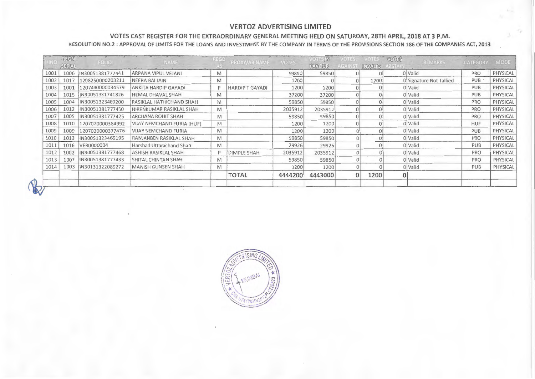#### **VERTOZ ADVERTISING LIMITED**

#### **VOTES CAST REGISTER FOR THE EXTRAORDINARY GENERAL MEETING HELD ON SATURDAY, 28TH APRIL, 2018 AT 3 P.M.**

**RESOLUTION NO.2: APPROVAL OF LIMITS FOR THE LOANS AND INVESTMENT BY THE COMPANY IN TERMS OF THE PROVISIONS SECTION 186 OF THE COMPANIES ACT, 2013** 

|      | REGN<br>SERIAL | FOLIO            | <b>NAME</b>                 | $N = 5D$ | PROXY/AR NAME         | <b>VOTES</b> | VOTES IN<br>FAVOUR | VOTES.<br>AGAIN | VOTES.<br>INVALID | <b>VOTES</b><br>REMARKS | CATEGORY   | MODE     |
|------|----------------|------------------|-----------------------------|----------|-----------------------|--------------|--------------------|-----------------|-------------------|-------------------------|------------|----------|
| 1001 | 1006           | IN30051381777441 | ARPANA VIPUL VEJANI         | M        |                       | 59850        | 59850              |                 |                   | 0 Valid                 | <b>PRO</b> | PHYSICAL |
| 1002 | 1017           | 1208250000203211 | NEERA BAI JAIN              | M        |                       | 1200         |                    |                 | 1200              | 0 Signature Not Tallied | <b>PUB</b> | PHYSICAL |
| 1003 | 1001           | 1207440000034579 | ANKITA HARDIP GAYADI        | P        | <b>HARDIPT GAYADI</b> | 1200         | 1200               |                 |                   | 0 Valid                 | <b>PUB</b> | PHYSICAL |
| 1004 | 1015           | IN30051381741826 | <b>HEMAL DHAVAL SHAH</b>    | M        |                       | 37200        | 37200              |                 |                   | 0 Valid                 | <b>PUB</b> | PHYSICAL |
| 1005 | 1004           | IN30051323469200 | RASIKLAL HATHICHAND 5HAH    | M        |                       | 59850        | 59850              |                 |                   | 0 Valid                 | PRO        | PHYSICAL |
| 1006 | 1012           | IN30051381777450 | HIRENKUMAR RASIKLAL SHAH    | M        |                       | 2035912      | 2035912            |                 |                   | 0 Valid                 | PRO        | PHYSICAL |
| 1007 | 1005           | IN30051381777425 | ARCHANA ROHIT SHAH          | M        |                       | 59850        | 59850              |                 |                   | 0 Valid                 | PRO        | PHYSICAL |
| 1008 | 1010           | 1207020000384992 | VIJAY NEMCHAND FURIA (HUF)  | M        |                       | 1200         | 1200               |                 |                   | 0 Valid                 | <b>HUF</b> | PHYSICAL |
| 1009 | 1009           | 1207020000377476 | <b>VIJAY NEMCHAND FURIA</b> | M        |                       | 1200         | 1200               |                 |                   | 0 Valid                 | PUB        | PHYSICAL |
| 1010 | 1013           | IN300S1323469195 | RANJANBEN RASIKLAL SHAH     | M        |                       | 59850        | 59850              |                 |                   | 0 Valid                 | PRO        | PHYSICAL |
| 1011 | 1016           | VER0000004       | Harshad Uttamchand Shah     | M        |                       | 29926        | 29926              |                 |                   | 0 Valid                 | PUB        | PHYSICAL |
| 1012 | 1002           | IN30051381777468 | ASHISH RASIKLAL SHAH        | D        | DIMPLE SHAH           | 2035912      | 2035912            |                 |                   | 0 Valid                 | PRO        | PHYSICAL |
| 1013 | 1007           | IN30051381777433 | SHITAL CHINTAN SHAH         | M        |                       | 59850        | 59850              |                 |                   | 0 Valid                 | PRO        | PHYSICAL |
| 1014 | 1003           | IN30131322089272 | <b>MANISH GUNSEN SHAH</b>   | M        |                       | 1200         | 1200               |                 |                   | 0 Valid                 | PUB        | PHYSICAL |
|      |                |                  |                             |          | <b>TOTAL</b>          | 4444200      | 4443000            |                 | 1200              |                         |            |          |
|      |                |                  |                             |          |                       |              |                    |                 |                   |                         |            |          |